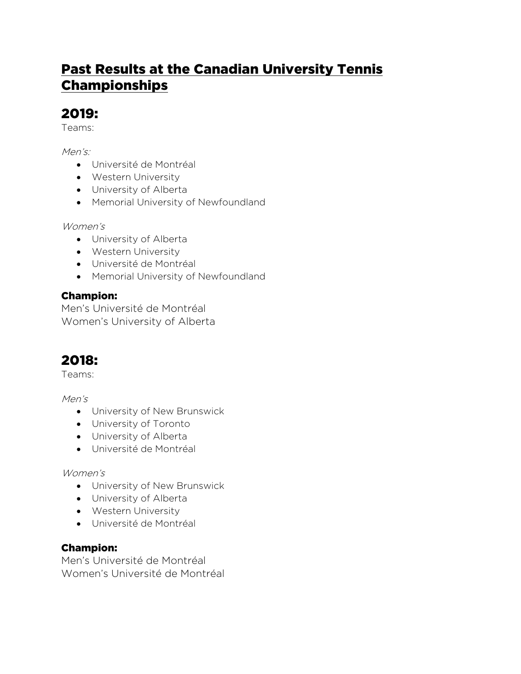# Past Results at the Canadian University Tennis Championships

## 2019:

Teams:

Men's:

- Université de Montréal
- Western University
- University of Alberta
- Memorial University of Newfoundland

Women's

- University of Alberta
- Western University
- Université de Montréal
- Memorial University of Newfoundland

### Champion:

Men's Université de Montréal Women's University of Alberta

# 2018:

Teams:

Men's

- University of New Brunswick
- University of Toronto
- University of Alberta
- Université de Montréal

Women's

- University of New Brunswick
- University of Alberta
- Western University
- Université de Montréal

### Champion:

Men's Université de Montréal Women's Université de Montréal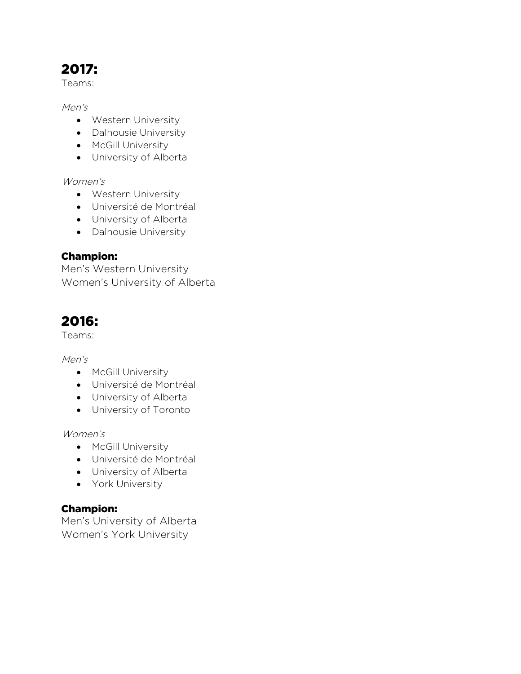# 2017:

Teams:

Men's

- Western University
- Dalhousie University
- McGill University
- University of Alberta

Women's

- Western University
- Université de Montréal
- University of Alberta
- Dalhousie University

#### Champion:

Men's Western University Women's University of Alberta

### 2016:

Teams:

Men's

- McGill University
- Université de Montréal
- University of Alberta
- University of Toronto

Women's

- McGill University
- Université de Montréal
- University of Alberta
- York University

#### Champion:

Men's University of Alberta Women's York University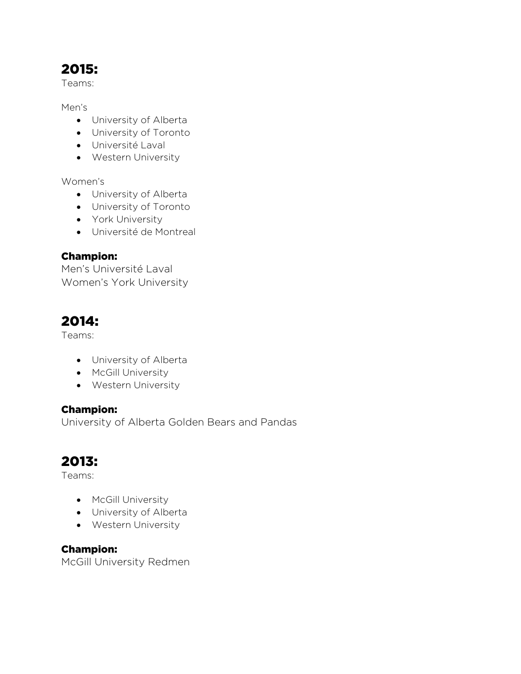## 2015:

Teams:

Men's

- University of Alberta
- University of Toronto
- Université Laval
- Western University

Women's

- University of Alberta
- University of Toronto
- York University
- Université de Montreal

#### Champion:

Men's Université Laval Women's York University

### 2014:

Teams:

- University of Alberta
- McGill University
- Western University

#### Champion:

University of Alberta Golden Bears and Pandas

### 2013:

Teams:

- McGill University
- University of Alberta
- Western University

#### Champion: McGill University Redmen